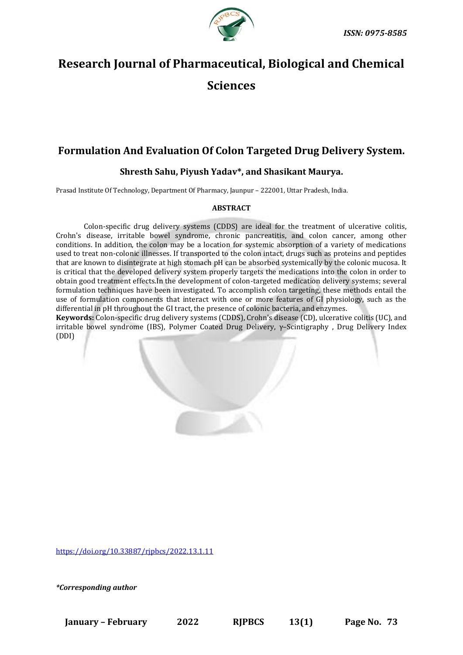

# **Research Journal of Pharmaceutical, Biological and Chemical Sciences**

## **Formulation And Evaluation Of Colon Targeted Drug Delivery System.**

### **Shresth Sahu, Piyush Yadav\*, and Shasikant Maurya.**

Prasad Institute Of Technology, Department Of Pharmacy, Jaunpur – 222001, Uttar Pradesh, India.

#### **ABSTRACT**

Colon-specific drug delivery systems (CDDS) are ideal for the treatment of ulcerative colitis, Crohn's disease, irritable bowel syndrome, chronic pancreatitis, and colon cancer, among other conditions. In addition, the colon may be a location for systemic absorption of a variety of medications used to treat non-colonic illnesses. If transported to the colon intact, drugs such as proteins and peptides that are known to disintegrate at high stomach pH can be absorbed systemically by the colonic mucosa. It is critical that the developed delivery system properly targets the medications into the colon in order to obtain good treatment effects.In the development of colon-targeted medication delivery systems; several formulation techniques have been investigated. To accomplish colon targeting, these methods entail the use of formulation components that interact with one or more features of GI physiology, such as the differential in pH throughout the GI tract, the presence of colonic bacteria, and enzymes.

**Keywords:** Colon-specific drug delivery systems (CDDS), Crohn's disease (CD), ulcerative colitis (UC), and irritable bowel syndrome (IBS), Polymer Coated Drug Delivery, γ–Scintigraphy , Drug Delivery Index (DDI)

<https://doi.org/10.33887/rjpbcs/2022.13.1.11>

*\*Corresponding author*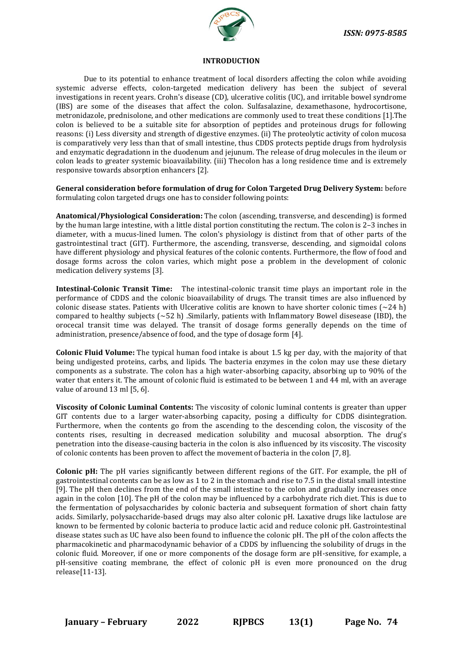

#### **INTRODUCTION**

Due to its potential to enhance treatment of local disorders affecting the colon while avoiding systemic adverse effects, colon-targeted medication delivery has been the subject of several investigations in recent years. Crohn's disease (CD), ulcerative colitis (UC), and irritable bowel syndrome (IBS) are some of the diseases that affect the colon. Sulfasalazine, dexamethasone, hydrocortisone, metronidazole, prednisolone, and other medications are commonly used to treat these conditions [1].The colon is believed to be a suitable site for absorption of peptides and proteinous drugs for following reasons: (i) Less diversity and strength of digestive enzymes. (ii) The proteolytic activity of colon mucosa is comparatively very less than that of small intestine, thus CDDS protects peptide drugs from hydrolysis and enzymatic degradationn in the duodenum and jejunum. The release of drug molecules in the ileum or colon leads to greater systemic bioavailability. (iii) Thecolon has a long residence time and is extremely responsive towards absorption enhancers [2].

**General consideration before formulation of drug for Colon Targeted Drug Delivery System:** before formulating colon targeted drugs one has to consider following points:

**Anatomical/Physiological Consideration:** The colon (ascending, transverse, and descending) is formed by the human large intestine, with a little distal portion constituting the rectum. The colon is 2–3 inches in diameter, with a mucus-lined lumen. The colon's physiology is distinct from that of other parts of the gastrointestinal tract (GIT). Furthermore, the ascending, transverse, descending, and sigmoidal colons have different physiology and physical features of the colonic contents. Furthermore, the flow of food and dosage forms across the colon varies, which might pose a problem in the development of colonic medication delivery systems [3].

**Intestinal-Colonic Transit Time:** The intestinal-colonic transit time plays an important role in the performance of CDDS and the colonic bioavailability of drugs. The transit times are also influenced by colonic disease states. Patients with Ulcerative colitis are known to have shorter colonic times ( $\sim$ 24 h) compared to healthy subjects  $({\sim}52 \text{ h})$  . Similarly, patients with Inflammatory Bowel disesease (IBD), the orocecal transit time was delayed. The transit of dosage forms generally depends on the time of administration, presence/absence of food, and the type of dosage form [4].

**Colonic Fluid Volume:** The typical human food intake is about 1.5 kg per day, with the majority of that being undigested proteins, carbs, and lipids. The bacteria enzymes in the colon may use these dietary components as a substrate. The colon has a high water-absorbing capacity, absorbing up to 90% of the water that enters it. The amount of colonic fluid is estimated to be between 1 and 44 ml, with an average value of around 13 ml [5, 6].

**Viscosity of Colonic Luminal Contents:** The viscosity of colonic luminal contents is greater than upper GIT contents due to a larger water-absorbing capacity, posing a difficulty for CDDS disintegration. Furthermore, when the contents go from the ascending to the descending colon, the viscosity of the contents rises, resulting in decreased medication solubility and mucosal absorption. The drug's penetration into the disease-causing bacteria in the colon is also influenced by its viscosity. The viscosity of colonic contents has been proven to affect the movement of bacteria in the colon [7, 8].

**Colonic pH:** The pH varies significantly between different regions of the GIT. For example, the pH of gastrointestinal contents can be as low as 1 to 2 in the stomach and rise to 7.5 in the distal small intestine [9]. The pH then declines from the end of the small intestine to the colon and gradually increases once again in the colon [10]. The pH of the colon may be influenced by a carbohydrate rich diet. This is due to the fermentation of polysaccharides by colonic bacteria and subsequent formation of short chain fatty acids. Similarly, polysaccharide-based drugs may also alter colonic pH. Laxative drugs like lactulose are known to be fermented by colonic bacteria to produce lactic acid and reduce colonic pH. Gastrointestinal disease states such as UC have also been found to influence the colonic pH. The pH of the colon affects the pharmacokinetic and pharmacodynamic behavior of a CDDS by influencing the solubility of drugs in the colonic fluid. Moreover, if one or more components of the dosage form are pH-sensitive, for example, a pH-sensitive coating membrane, the effect of colonic pH is even more pronounced on the drug release[11-13].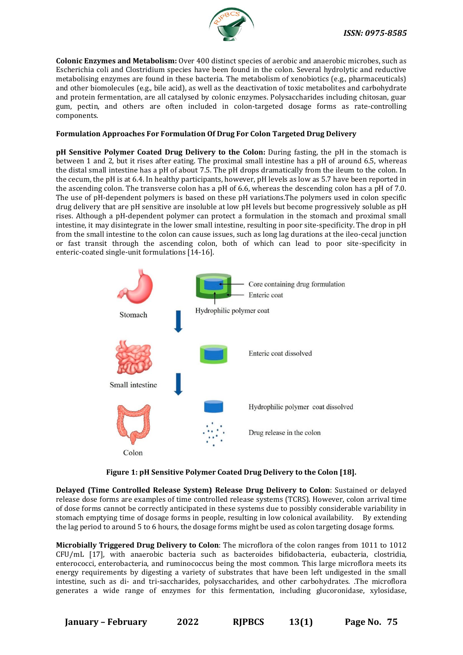

**Colonic Enzymes and Metabolism:** Over 400 distinct species of aerobic and anaerobic microbes, such as Escherichia coli and Clostridium species have been found in the colon. Several hydrolytic and reductive metabolising enzymes are found in these bacteria. The metabolism of xenobiotics (e.g., pharmaceuticals) and other biomolecules (e.g., bile acid), as well as the deactivation of toxic metabolites and carbohydrate and protein fermentation, are all catalysed by colonic enzymes. Polysaccharides including chitosan, guar gum, pectin, and others are often included in colon-targeted dosage forms as rate-controlling components.

#### **Formulation Approaches For Formulation Of Drug For Colon Targeted Drug Delivery**

**pH Sensitive Polymer Coated Drug Delivery to the Colon:** During fasting, the pH in the stomach is between 1 and 2, but it rises after eating. The proximal small intestine has a pH of around 6.5, whereas the distal small intestine has a pH of about 7.5. The pH drops dramatically from the ileum to the colon. In the cecum, the pH is at 6.4. In healthy participants, however, pH levels as low as 5.7 have been reported in the ascending colon. The transverse colon has a pH of 6.6, whereas the descending colon has a pH of 7.0. The use of pH-dependent polymers is based on these pH variations.The polymers used in colon specific drug delivery that are pH sensitive are insoluble at low pH levels but become progressively soluble as pH rises. Although a pH-dependent polymer can protect a formulation in the stomach and proximal small intestine, it may disintegrate in the lower small intestine, resulting in poor site-specificity. The drop in pH from the small intestine to the colon can cause issues, such as long lag durations at the ileo-cecal junction or fast transit through the ascending colon, both of which can lead to poor site-specificity in enteric-coated single-unit formulations [14-16].



**Figure 1: pH Sensitive Polymer Coated Drug Delivery to the Colon [18].**

**Delayed (Time Controlled Release System) Release Drug Delivery to Colon**: Sustained or delayed release dose forms are examples of time controlled release systems (TCRS). However, colon arrival time of dose forms cannot be correctly anticipated in these systems due to possibly considerable variability in stomach emptying time of dosage forms in people, resulting in low colonical availability. By extending the lag period to around 5 to 6 hours, the dosage forms might be used as colon targeting dosage forms.

**Microbially Triggered Drug Delivery to Colon**: The microflora of the colon ranges from 1011 to 1012 CFU/mL [17], with anaerobic bacteria such as bacteroides bifidobacteria, eubacteria, clostridia, enterococci, enterobacteria, and ruminococcus being the most common. This large microflora meets its energy requirements by digesting a variety of substrates that have been left undigested in the small intestine, such as di- and tri-saccharides, polysaccharides, and other carbohydrates. .The microflora generates a wide range of enzymes for this fermentation, including glucoronidase, xylosidase,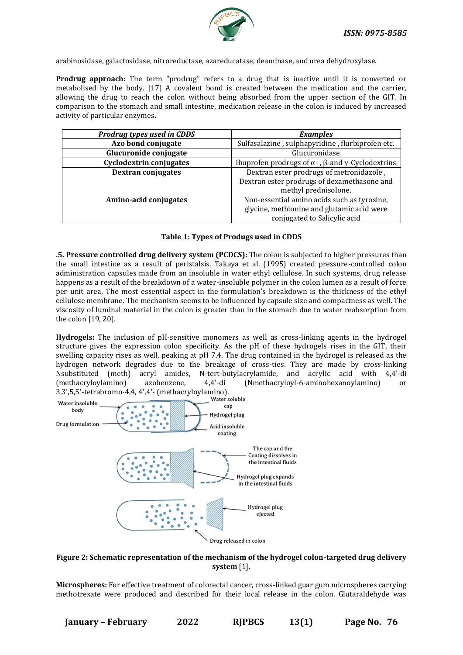

arabinosidase, galactosidase, nitroreductase, azareducatase, deaminase, and urea dehydroxylase.

**Prodrug approach:** The term "prodrug" refers to a drug that is inactive until it is converted or metabolised by the body. [17] A covalent bond is created between the medication and the carrier, allowing the drug to reach the colon without being absorbed from the upper section of the GIT. In comparison to the stomach and small intestine, medication release in the colon is induced by increased activity of particular enzymes**.**

| Prodrug types used in CDDS | <b>Examples</b>                                         |
|----------------------------|---------------------------------------------------------|
| Azo bond conjugate         | Sulfasalazine, sulphapyridine, flurbiprofen etc.        |
| Glucuronide conjugate      | Glucuronidase                                           |
| Cyclodextrin conjugates    | Ibuprofen prodrugs of α -, $\beta$ -and γ-Cyclodextrins |
| <b>Dextran conjugates</b>  | Dextran ester prodrugs of metronidazole,                |
|                            | Dextran ester prodrugs of dexamethasone and             |
|                            | methyl prednisolone.                                    |
| Amino-acid conjugates      | Non-essential amino acids such as tyrosine,             |
|                            | glycine, methionine and glutamic acid were              |
|                            | conjugated to Salicylic acid                            |

#### **Table 1: Types of Produgs used in CDDS**

**.5. Pressure controlled drug delivery system (PCDCS):** The colon is subjected to higher pressures than the small intestine as a result of peristalsis. Takaya et al. (1995) created pressure-controlled colon administration capsules made from an insoluble in water ethyl cellulose. In such systems, drug release happens as a result of the breakdown of a water-insoluble polymer in the colon lumen as a result of force per unit area. The most essential aspect in the formulation's breakdown is the thickness of the ethyl cellulose membrane. The mechanism seems to be influenced by capsule size and compactness as well. The viscosity of luminal material in the colon is greater than in the stomach due to water reabsorption from the colon [19, 20].

**Hydrogels:** The inclusion of pH-sensitive monomers as well as cross-linking agents in the hydrogel structure gives the expression colon specificity. As the pH of these hydrogels rises in the GIT, their swelling capacity rises as well, peaking at pH 7.4. The drug contained in the hydrogel is released as the hydrogen network degrades due to the breakage of cross-ties. They are made by cross-linking Nsubstituted (meth) acryl amides, N-tert-butylacrylamide, and acrylic acid with 4,4'-di (methacryloylamino) azobenzene, 4,4'-di (Nmethacryloyl-6-aminohexanoylamino) or



#### **Figure 2: Schematic representation of the mechanism of the hydrogel colon-targeted drug delivery system** [1].

**Microspheres:** For effective treatment of colorectal cancer, cross-linked guar gum microspheres carrying methotrexate were produced and described for their local release in the colon. Glutaraldehyde was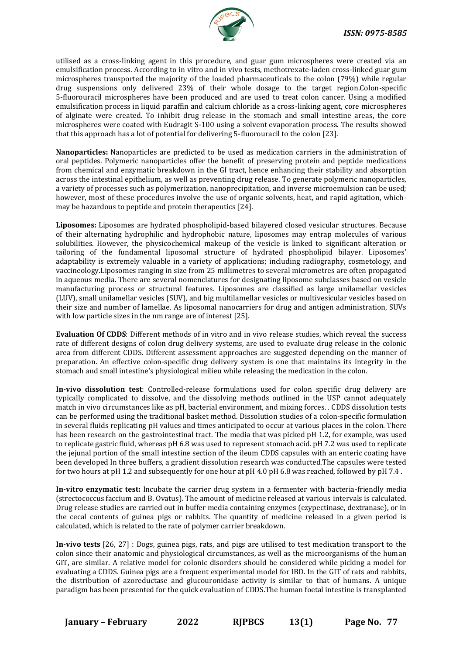

utilised as a cross-linking agent in this procedure, and guar gum microspheres were created via an emulsification process. According to in vitro and in vivo tests, methotrexate-laden cross-linked guar gum microspheres transported the majority of the loaded pharmaceuticals to the colon (79%) while regular drug suspensions only delivered 23% of their whole dosage to the target region.Colon-specific 5-fluorouracil microspheres have been produced and are used to treat colon cancer. Using a modified emulsification process in liquid paraffin and calcium chloride as a cross-linking agent, core microspheres of alginate were created. To inhibit drug release in the stomach and small intestine areas, the core microspheres were coated with Eudragit S-100 using a solvent evaporation process. The results showed that this approach has a lot of potential for delivering 5-fluorouracil to the colon [23].

**Nanoparticles:** Nanoparticles are predicted to be used as medication carriers in the administration of oral peptides. Polymeric nanoparticles offer the benefit of preserving protein and peptide medications from chemical and enzymatic breakdown in the GI tract, hence enhancing their stability and absorption across the intestinal epithelium, as well as preventing drug release. To generate polymeric nanoparticles, a variety of processes such as polymerization, nanoprecipitation, and inverse microemulsion can be used; however, most of these procedures involve the use of organic solvents, heat, and rapid agitation, whichmay be hazardous to peptide and protein therapeutics [24].

**Liposomes:** Liposomes are hydrated phospholipid-based bilayered closed vesicular structures. Because of their alternating hydrophilic and hydrophobic nature, liposomes may entrap molecules of various solubilities. However, the physicochemical makeup of the vesicle is linked to significant alteration or tailoring of the fundamental liposomal structure of hydrated phospholipid bilayer. Liposomes' adaptability is extremely valuable in a variety of applications; including radiography, cosmetology, and vaccineology.Liposomes ranging in size from 25 millimetres to several micrometres are often propagated in aqueous media. There are several nomenclatures for designating liposome subclasses based on vesicle manufacturing process or structural features. Liposomes are classified as large unilamellar vesicles (LUV), small unilamellar vesicles (SUV), and big multilamellar vesicles or multivesicular vesicles based on their size and number of lamellae. As liposomal nanocarriers for drug and antigen administration, SUVs with low particle sizes in the nm range are of interest [25].

**Evaluation Of CDDS**: Different methods of in vitro and in vivo release studies, which reveal the success rate of different designs of colon drug delivery systems, are used to evaluate drug release in the colonic area from different CDDS. Different assessment approaches are suggested depending on the manner of preparation. An effective colon-specific drug delivery system is one that maintains its integrity in the stomach and small intestine's physiological milieu while releasing the medication in the colon.

**In-vivo dissolution test**: Controlled-release formulations used for colon specific drug delivery are typically complicated to dissolve, and the dissolving methods outlined in the USP cannot adequately match in vivo circumstances like as pH, bacterial environment, and mixing forces. . CDDS dissolution tests can be performed using the traditional basket method. Dissolution studies of a colon-specific formulation in several fluids replicating pH values and times anticipated to occur at various places in the colon. There has been research on the gastrointestinal tract. The media that was picked pH 1.2, for example, was used to replicate gastric fluid, whereas pH 6.8 was used to represent stomach acid. pH 7.2 was used to replicate the jejunal portion of the small intestine section of the ileum CDDS capsules with an enteric coating have been developed In three buffers, a gradient dissolution research was conducted.The capsules were tested for two hours at pH 1.2 and subsequently for one hour at pH 4.0 pH 6.8 was reached, followed by pH 7.4 .

**In-vitro enzymatic test:** Incubate the carrier drug system in a fermenter with bacteria-friendly media (strectococcus faccium and B. Ovatus). The amount of medicine released at various intervals is calculated. Drug release studies are carried out in buffer media containing enzymes (ezypectinase, dextranase), or in the cecal contents of guinea pigs or rabbits. The quantity of medicine released in a given period is calculated, which is related to the rate of polymer carrier breakdown.

**In-vivo tests** [26, 27] : Dogs, guinea pigs, rats, and pigs are utilised to test medication transport to the colon since their anatomic and physiological circumstances, as well as the microorganisms of the human GIT, are similar. A relative model for colonic disorders should be considered while picking a model for evaluating a CDDS. Guinea pigs are a frequent experimental model for IBD. In the GIT of rats and rabbits, the distribution of azoreductase and glucouronidase activity is similar to that of humans. A unique paradigm has been presented for the quick evaluation of CDDS.The human foetal intestine is transplanted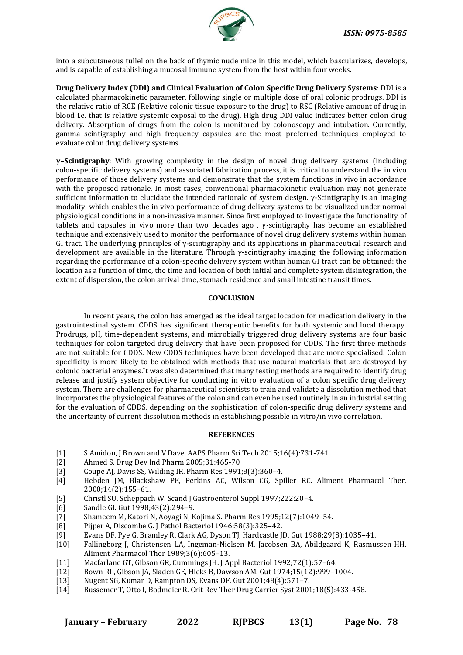

into a subcutaneous tullel on the back of thymic nude mice in this model, which bascularizes, develops, and is capable of establishing a mucosal immune system from the host within four weeks.

**Drug Delivery Index (DDI) and Clinical Evaluation of Colon Specific Drug Delivery Systems**: DDI is a calculated pharmacokinetic parameter, following single or multiple dose of oral colonic prodrugs. DDI is the relative ratio of RCE (Relative colonic tissue exposure to the drug) to RSC (Relative amount of drug in blood i.e. that is relative systemic exposal to the drug). High drug DDI value indicates better colon drug delivery. Absorption of drugs from the colon is monitored by colonoscopy and intubation. Currently, gamma scintigraphy and high frequency capsules are the most preferred techniques employed to evaluate colon drug delivery systems.

**γ–Scintigraphy**: With growing complexity in the design of novel drug delivery systems (including colon-specific delivery systems) and associated fabrication process, it is critical to understand the in vivo performance of those delivery systems and demonstrate that the system functions in vivo in accordance with the proposed rationale. In most cases, conventional pharmacokinetic evaluation may not generate sufficient information to elucidate the intended rationale of system design. γ-Scintigraphy is an imaging modality, which enables the in vivo performance of drug delivery systems to be visualized under normal physiological conditions in a non-invasive manner. Since first employed to investigate the functionality of tablets and capsules in vivo more than two decades ago . γ-scintigraphy has become an established technique and extensively used to monitor the performance of novel drug delivery systems within human GI tract. The underlying principles of γ-scintigraphy and its applications in pharmaceutical research and development are available in the literature. Through γ-scintigraphy imaging, the following information regarding the performance of a colon-specific delivery system within human GI tract can be obtained: the location as a function of time, the time and location of both initial and complete system disintegration, the extent of dispersion, the colon arrival time, stomach residence and small intestine transit times.

#### **CONCLUSION**

In recent years, the colon has emerged as the ideal target location for medication delivery in the gastrointestinal system. CDDS has significant therapeutic benefits for both systemic and local therapy. Prodrugs, pH, time-dependent systems, and microbially triggered drug delivery systems are four basic techniques for colon targeted drug delivery that have been proposed for CDDS. The first three methods are not suitable for CDDS. New CDDS techniques have been developed that are more specialised. Colon specificity is more likely to be obtained with methods that use natural materials that are destroyed by colonic bacterial enzymes.It was also determined that many testing methods are required to identify drug release and justify system objective for conducting in vitro evaluation of a colon specific drug delivery system. There are challenges for pharmaceutical scientists to train and validate a dissolution method that incorporates the physiological features of the colon and can even be used routinely in an industrial setting for the evaluation of CDDS, depending on the sophistication of colon-specific drug delivery systems and the uncertainty of current dissolution methods in establishing possible in vitro/in vivo correlation.

#### **REFERENCES**

- [1] S Amidon, J Brown and V Dave. AAPS Pharm Sci Tech 2015;16(4):731-741.
- [2] Ahmed S. Drug Dev Ind Pharm 2005;31:465-70
- [3] Coupe AJ, Davis SS, Wilding IR. Pharm Res 1991;8(3):360–4.
- [4] Hebden JM, Blackshaw PE, Perkins AC, Wilson CG, Spiller RC. Aliment Pharmacol Ther. 2000;14(2):155–61.
- [5] Christl SU, Scheppach W. Scand J Gastroenterol Suppl 1997;222:20–4.
- [6] Sandle GI. Gut 1998;43(2):294–9.
- [7] Shameem M, Katori N, Aoyagi N, Kojima S. Pharm Res 1995;12(7):1049–54.
- [8] Pijper A, Discombe G. J Pathol Bacteriol 1946;58(3):325–42.
- [9] Evans DF, Pye G, Bramley R, Clark AG, Dyson TJ, Hardcastle JD. Gut 1988;29(8):1035–41.
- [10] Fallingborg J, Christensen LA, Ingeman-Nielsen M, Jacobsen BA, Abildgaard K, Rasmussen HH. Aliment Pharmacol Ther 1989;3(6):605–13.
- [11] Macfarlane GT, Gibson GR, Cummings JH. J Appl Bacteriol 1992;72(1):57–64.
- [12] Bown RL, Gibson JA, Sladen GE, Hicks B, Dawson AM. Gut 1974;15(12):999–1004.
- [13] Nugent SG, Kumar D, Rampton DS, Evans DF. Gut 2001;48(4):571–7.
- [14] Bussemer T, Otto I, Bodmeier R. Crit Rev Ther Drug Carrier Syst 2001;18(5):433-458.